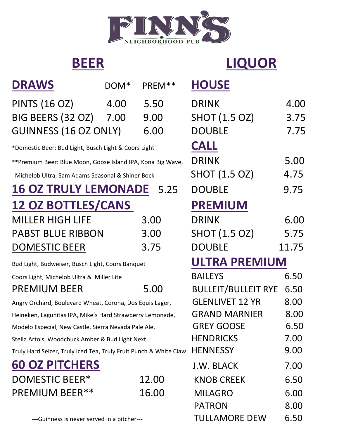

# **BEER LIQUOR**

| <b>DRAWS</b>                                                      | DOM <sup>*</sup> | PREM <sup>**</sup> | <b>HOUSE</b>               |       |
|-------------------------------------------------------------------|------------------|--------------------|----------------------------|-------|
| <b>PINTS (16 OZ)</b>                                              | 4.00             | 5.50               | <b>DRINK</b>               | 4.00  |
| BIG BEERS (32 OZ) 7.00                                            |                  | 9.00               | <b>SHOT (1.5 OZ)</b>       | 3.75  |
| <b>GUINNESS (16 OZ ONLY)</b>                                      |                  | 6.00               | <b>DOUBLE</b>              | 7.75  |
| *Domestic Beer: Bud Light, Busch Light & Coors Light              | <b>CALL</b>      |                    |                            |       |
| **Premium Beer: Blue Moon, Goose Island IPA, Kona Big Wave,       |                  |                    | <b>DRINK</b>               | 5.00  |
| Michelob Ultra, Sam Adams Seasonal & Shiner Bock                  |                  |                    | SHOT (1.5 OZ)              | 4.75  |
| <b>16 OZ TRULY LEMONADE</b>                                       |                  | 5.25               | <b>DOUBLE</b>              | 9.75  |
| <b>12 OZ BOTTLES/CANS</b>                                         |                  |                    | <b>PREMIUM</b>             |       |
| <b>MILLER HIGH LIFE</b>                                           |                  | 3.00               | <b>DRINK</b>               | 6.00  |
| <b>PABST BLUE RIBBON</b>                                          |                  | 3.00               | <b>SHOT (1.5 OZ)</b>       | 5.75  |
| <b>DOMESTIC BEER</b>                                              |                  | 3.75               | <b>DOUBLE</b>              | 11.75 |
| Bud Light, Budweiser, Busch Light, Coors Banquet                  |                  |                    | <b>ULTRA PREMIUM</b>       |       |
| Coors Light, Michelob Ultra & Miller Lite                         |                  |                    | <b>BAILEYS</b>             | 6.50  |
| <b>PREMIUM BEER</b>                                               |                  | 5.00               | <b>BULLEIT/BULLEIT RYE</b> | 6.50  |
| Angry Orchard, Boulevard Wheat, Corona, Dos Equis Lager,          |                  |                    | <b>GLENLIVET 12 YR</b>     | 8.00  |
| Heineken, Lagunitas IPA, Mike's Hard Strawberry Lemonade,         |                  |                    | <b>GRAND MARNIER</b>       | 8.00  |
| Modelo Especial, New Castle, Sierra Nevada Pale Ale,              |                  |                    | <b>GREY GOOSE</b>          | 6.50  |
| Stella Artois, Woodchuck Amber & Bud Light Next                   |                  |                    | <b>HENDRICKS</b>           | 7.00  |
| Truly Hard Selzer, Truly Iced Tea, Truly Fruit Punch & White Claw |                  |                    | <b>HENNESSY</b>            | 9.00  |
| <b>60 OZ PITCHERS</b>                                             |                  |                    | J.W. BLACK                 | 7.00  |
| <b>DOMESTIC BEER*</b>                                             |                  | 12.00              | <b>KNOB CREEK</b>          | 6.50  |
| <b>PREMIUM BEER**</b>                                             |                  | 16.00              | <b>MILAGRO</b>             | 6.00  |

| DRINK                | 4.00  |  |  |  |
|----------------------|-------|--|--|--|
| <b>SHOT (1.5 OZ)</b> | 3.75  |  |  |  |
| <b>DOUBLE</b>        | 7.75  |  |  |  |
| CALL                 |       |  |  |  |
| <b>DRINK</b>         | 5.00  |  |  |  |
| SHOT (1.5 OZ)        | 4.75  |  |  |  |
| DOUBLE               | 9.75  |  |  |  |
| <b>PREMIUM</b>       |       |  |  |  |
| <b>DRINK</b>         | 6.00  |  |  |  |
| SHOT (1.5 OZ)        | 5.75  |  |  |  |
| <b>DOUBLE</b>        | 11.75 |  |  |  |
| ULTRA PREMIUM        |       |  |  |  |
| <b>BAILEYS</b>       | 6.50  |  |  |  |

| thelod ontra & Twillier Lite                      |       | <b>DAILLIJ</b>                  | U.JU  |
|---------------------------------------------------|-------|---------------------------------|-------|
| 1 BEER                                            | 5.00  | <b>BULLEIT/BULLEIT RYE 6.50</b> |       |
| Boulevard Wheat, Corona, Dos Equis Lager,         |       | <b>GLENLIVET 12 YR</b>          | 8.00  |
| nitas IPA, Mike's Hard Strawberry Lemonade,       |       | <b>GRAND MARNIER</b>            | 8.00  |
| I, New Castle, Sierra Nevada Pale Ale,            |       | <b>GREY GOOSE</b>               | 6.50  |
| bodchuck Amber & Bud Light Next                   |       | <b>HENDRICKS</b>                | 7.00  |
| r, Truly Iced Tea, Truly Fruit Punch & White Claw |       | <b>HENNESSY</b>                 | 9.00  |
| <b>ITCHERS</b>                                    |       | J.W. BLACK                      | 7.00  |
| $C$ BEER*                                         | 12.00 | <b>KNOB CREEK</b>               | 6.50  |
| 1 BEER**                                          | 16.00 | <b>MILAGRO</b>                  | 6.00  |
|                                                   |       | <b>PATRON</b>                   | 8.00  |
| ass is nover served in a nitcher                  |       | THELAMORE DEW                   | 6 5 D |

---Guinness is never served in a pitcher--- TULLAMORE DEW 6.50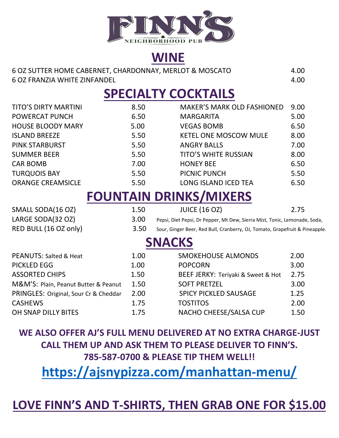

# **WINE**

| 6 OZ SUTTER HOME CABERNET, CHARDONNAY, MERLOT & MOSCATO | 4.00 |
|---------------------------------------------------------|------|
| 6 OZ FRANZIA WHITE ZINFANDEL                            | 4.00 |

# **SPECIALTY COCKTAILS**

| <b>TITO'S DIRTY MARTINI</b>           | 8.50 | <b>MAKER'S MARK OLD FASHIONED</b>                                           | 9.00 |  |  |  |  |
|---------------------------------------|------|-----------------------------------------------------------------------------|------|--|--|--|--|
| POWERCAT PUNCH                        | 6.50 | <b>MARGARITA</b>                                                            | 5.00 |  |  |  |  |
| <b>HOUSE BLOODY MARY</b>              | 5.00 | <b>VEGAS BOMB</b>                                                           | 6.50 |  |  |  |  |
| <b>ISLAND BREEZE</b>                  | 5.50 | <b>KETEL ONE MOSCOW MULE</b>                                                | 8.00 |  |  |  |  |
| <b>PINK STARBURST</b>                 | 5.50 | <b>ANGRY BALLS</b>                                                          | 7.00 |  |  |  |  |
| <b>SUMMER BEER</b>                    | 5.50 | <b>TITO'S WHITE RUSSIAN</b>                                                 | 8.00 |  |  |  |  |
| <b>CAR BOMB</b>                       | 7.00 | <b>HONEY BEE</b>                                                            | 6.50 |  |  |  |  |
| <b>TURQUOIS BAY</b>                   | 5.50 | PICNIC PUNCH                                                                | 5.50 |  |  |  |  |
| <b>ORANGE CREAMSICLE</b>              | 5.50 | LONG ISLAND ICED TEA                                                        | 6.50 |  |  |  |  |
| <b>FOUNTAIN DRINKS/MIXERS</b>         |      |                                                                             |      |  |  |  |  |
| SMALL SODA(16 OZ)                     | 1.50 | <b>JUICE (16 OZ)</b>                                                        | 2.75 |  |  |  |  |
| LARGE SODA(32 OZ)                     | 3.00 | Pepsi, Diet Pepsi, Dr Pepper, Mt Dew, Sierra Mist, Tonic, Lemonade, Soda,   |      |  |  |  |  |
| RED BULL (16 OZ only)                 | 3.50 | Sour, Ginger Beer, Red Bull, Cranberry, OJ, Tomato, Grapefruit & Pineapple. |      |  |  |  |  |
|                                       |      | <b>SNACKS</b>                                                               |      |  |  |  |  |
| <b>PEANUTS: Salted &amp; Heat</b>     | 1.00 | <b>SMOKEHOUSE ALMONDS</b>                                                   | 2.00 |  |  |  |  |
| <b>PICKLED EGG</b>                    | 1.00 | <b>POPCORN</b>                                                              | 3.00 |  |  |  |  |
| <b>ASSORTED CHIPS</b>                 | 1.50 | BEEF JERKY: Teriyaki & Sweet & Hot                                          | 2.75 |  |  |  |  |
| M&M'S: Plain, Peanut Butter & Peanut  | 1.50 | <b>SOFT PRETZEL</b>                                                         | 3.00 |  |  |  |  |
| PRINGLES: Original, Sour Cr & Cheddar | 2.00 | <b>SPICY PICKLED SAUSAGE</b>                                                | 1.25 |  |  |  |  |
| <b>CASHEWS</b>                        | 1.75 | <b>TOSTITOS</b>                                                             | 2.00 |  |  |  |  |
| OH SNAP DILLY BITES                   | 1.75 | NACHO CHEESE/SALSA CUP                                                      | 1.50 |  |  |  |  |

**WE ALSO OFFER AJ'S FULL MENU DELIVERED AT NO EXTRA CHARGE-JUST CALL THEM UP AND ASK THEM TO PLEASE DELIVER TO FINN'S. 785-587-0700 & PLEASE TIP THEM WELL!!**

**<https://ajsnypizza.com/manhattan-menu/>**

# **LOVE FINN'S AND T-SHIRTS, THEN GRAB ONE FOR \$15.00**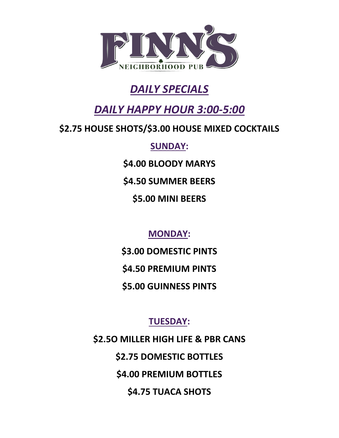

# *DAILY SPECIALS*

# *DAILY HAPPY HOUR 3:00-5:00*

### **\$2.75 HOUSE SHOTS/\$3.00 HOUSE MIXED COCKTAILS**

**SUNDAY:**

**\$4.00 BLOODY MARYS**

**\$4.50 SUMMER BEERS**

**\$5.00 MINI BEERS**

**MONDAY:**

**\$3.00 DOMESTIC PINTS \$4.50 PREMIUM PINTS \$5.00 GUINNESS PINTS**

**TUESDAY:**

**\$2.5O MILLER HIGH LIFE & PBR CANS \$2.75 DOMESTIC BOTTLES \$4.00 PREMIUM BOTTLES \$4.75 TUACA SHOTS**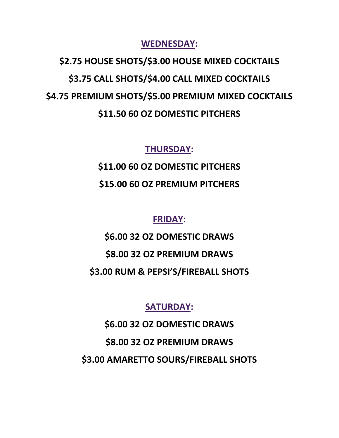**WEDNESDAY:**

**\$2.75 HOUSE SHOTS/\$3.00 HOUSE MIXED COCKTAILS \$3.75 CALL SHOTS/\$4.00 CALL MIXED COCKTAILS \$4.75 PREMIUM SHOTS/\$5.00 PREMIUM MIXED COCKTAILS \$11.50 60 OZ DOMESTIC PITCHERS**

**THURSDAY:**

**\$11.00 60 OZ DOMESTIC PITCHERS \$15.00 60 OZ PREMIUM PITCHERS**

**FRIDAY:**

**\$6.00 32 OZ DOMESTIC DRAWS \$8.00 32 OZ PREMIUM DRAWS \$3.00 RUM & PEPSI'S/FIREBALL SHOTS**

**SATURDAY:**

**\$6.00 32 OZ DOMESTIC DRAWS \$8.00 32 OZ PREMIUM DRAWS \$3.00 AMARETTO SOURS/FIREBALL SHOTS**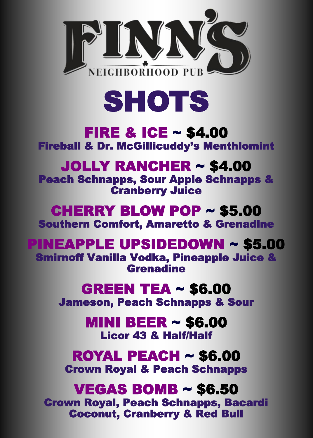



#### FIRE & ICE ~ \$4.00 Fireball & Dr. McGillicuddy's Menthlomint

#### JOLLY RANCHER ~ \$4.00

Peach Schnapps, Sour Apple Schnapps & Cranberry Juice

#### CHERRY BLOW POP ~ \$5.00 Southern Comfort, Amaretto & Grenadine

### PINEAPPLE UPSIDEDOWN ~ \$5.00

Smirnoff Vanilla Vodka, Pineapple Juice & Grenadine

#### GREEN TEA ~ \$6.00

Jameson, Peach Schnapps & Sour

MINI BEER ~ \$6.00 Licor 43 & Half/Half

ROYAL PEACH ~ \$6.00 Crown Royal & Peach Schnapps

#### VEGAS BOMB ~ \$6.50 Crown Royal, Peach Schnapps, Bacardi Coconut, Cranberry & Red Bull